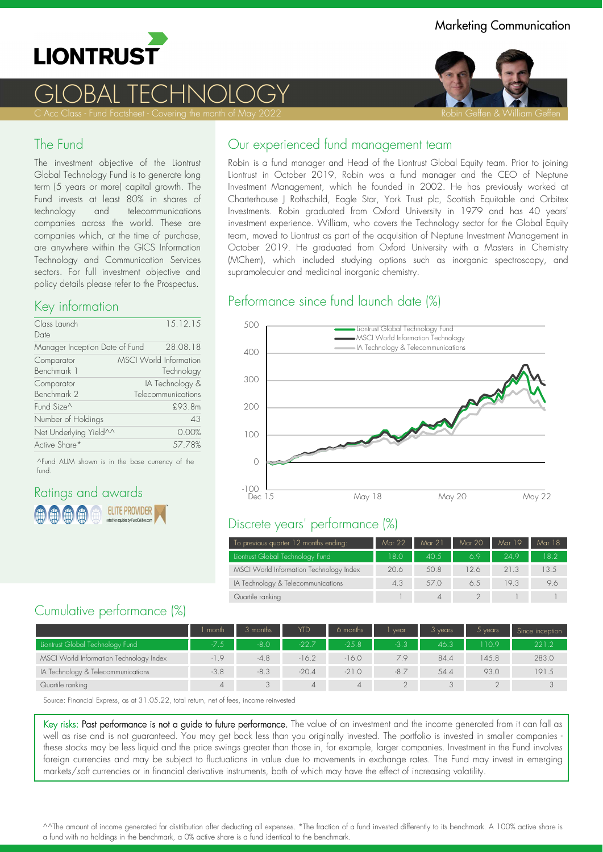

# GLOBAL TECHNOLOGY

### The Fund

The investment objective of the Liontrust Global Technology Fund is to generate long term (5 years or more) capital growth. The Fund invests at least 80% in shares of technology and telecommunications companies across the world. These are companies which, at the time of purchase, are anywhere within the GICS Information Technology and Communication Services sectors. For full investment objective and policy details please refer to the Prospectus.

## Key information

| Class Launch<br>Date           | 15.12.15                                    |
|--------------------------------|---------------------------------------------|
| Manager Inception Date of Fund | 28.08.18                                    |
| Comparator<br>Benchmark 1      | <b>MSCI World Information</b><br>Technology |
| Comparator<br>Benchmark 2      | IA Technology &<br>Telecommunications       |
| Fund Size <sup>^</sup>         | £93.8m                                      |
| Number of Holdings             | 43                                          |
| Net Underlying Yield^^         | 0.00%                                       |
| Active Share*                  | 57.78%                                      |
|                                |                                             |

^Fund AUM shown is in the base currency of the fund.

## Ratings and awards **ELITE PROVIDER**

## Our experienced fund management team

Robin is a fund manager and Head of the Liontrust Global Equity team. Prior to joining Liontrust in October 2019, Robin was a fund manager and the CEO of Neptune Investment Management, which he founded in 2002. He has previously worked at Charterhouse J Rothschild, Eagle Star, York Trust plc, Scottish Equitable and Orbitex Investments. Robin graduated from Oxford University in 1979 and has 40 years' investment experience. William, who covers the Technology sector for the Global Equity team, moved to Liontrust as part of the acquisition of Neptune Investment Management in October 2019. He graduated from Oxford University with a Masters in Chemistry (MChem), which included studying options such as inorganic spectroscopy, and supramolecular and medicinal inorganic chemistry.

### Performance since fund launch date (%)



## Discrete years' performance (%)

| To previous quarter 12 months ending:   | Mar 22 | Mar 21 | Mar 20 | Mar 19 | Mar 18 |
|-----------------------------------------|--------|--------|--------|--------|--------|
| Liontrust Global Technology Fund        | 18.0   | 40.5   | 6.9    | 24.9   | 18.2   |
| MSCI World Information Technology Index | 20.6   | 50.8   | 12.6   | 21.3   | 13.5   |
| IA Technology & Telecommunications      | 4.3    | 57.0   | 6.5    | 19.3   | 9.6    |
| Quartile ranking                        |        |        |        |        |        |

## Cumulative performance (%)

|                                         | l month | 3 months | <b>YTD</b> | 6 months | vear    | 3 years | 5 years | Since inception |
|-----------------------------------------|---------|----------|------------|----------|---------|---------|---------|-----------------|
| Liontrust Global Technology Fund        | $-7.5$  | $-8.0$   | $-22.7$    | $-25.8$  | $-3.3.$ | 46.3    | 1109    | 221.2           |
| MSCI World Information Technology Index | $-1.9$  | $-4.8$   | $-16.2$    | $-16.0$  | 79      | 84.4    | 145.8   | 283.0           |
| IA Technology & Telecommunications      | $-3.8$  | $-8.3$   | $-20.4$    | $-21.0$  | $-8.7$  | 54.4    | 93.0    | 191.5           |
| Quartile ranking                        |         |          |            | 4        |         |         |         |                 |

Source: Financial Express, as at 31.05.22, total return, net of fees, income reinvested

Key risks: Past performance is not a guide to future performance. The value of an investment and the income generated from it can fall as well as rise and is not guaranteed. You may get back less than you originally invested. The portfolio is invested in smaller companies . these stocks may be less liquid and the price swings greater than those in, for example, larger companies. Investment in the Fund involves foreign currencies and may be subject to fluctuations in value due to movements in exchange rates. The Fund may invest in emerging markets/soft currencies or in financial derivative instruments, both of which may have the effect of increasing volatility.

^^The amount of income generated for distribution after deducting all expenses. \*The fraction of a fund invested differently to its benchmark. A 100% active share is a fund with no holdings in the benchmark, a 0% active share is a fund identical to the benchmark.